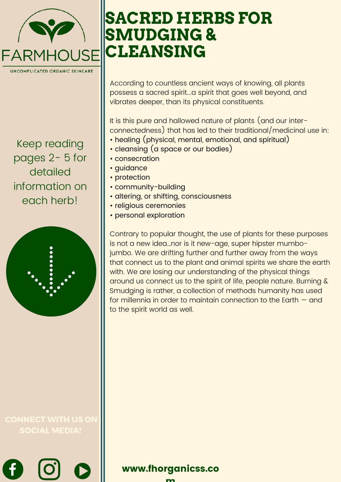

Keep reading pages 2- 5 for detailed information on each herb!



SOCIAL MEDIA!

# **SACRED HERBS FOR SMUDGING & CLEANSING**

According to countless ancient ways of knowing, all plants possess a sacred spirit...a spirit that goes well beyond, and vibrates deeper, than its physical constituents.

It is this pure and hallowed nature of plants (and our interconnectedness) that has led to their traditional/medicinal use in:

- healing (physical, mental, emotional, and spiritual)
- cleansing (a space or our bodies)
- consecration
- guidance
- protection
- community-building
- altering, or shifting, consciousness
- religious ceremonies
- personal exploration

Contrary to popular thought, the use of plants for these purposes is not a new idea…nor is it new-age, super hipster mumbojumbo. We are drifting further and further away from the ways that connect us to the plant and animal spirits we share the earth with. We are losing our understanding of the physical things around us connect us to the spirit of life, people nature. Burning & Smudging is rather, a collection of methods humanity has used for millennia in order to maintain connection to the Earth — and to the spirit world as well.

m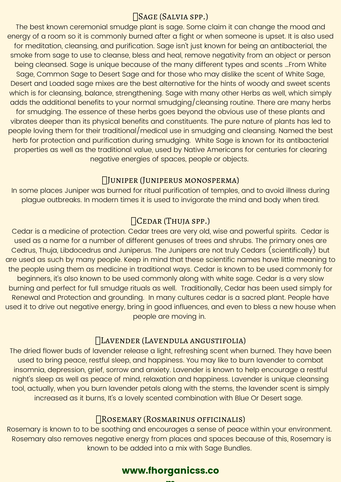### Sage (Salvia spp.)

The best known ceremonial smudge plant is sage. Some claim it can change the mood and energy of a room so it is commonly burned after a fight or when someone is upset. It is also used for meditation, cleansing, and purification. Sage isn't just known for being an antibacterial, the smoke from sage to use to cleanse, bless and heal, remove negativity from an object or person being cleansed. Sage is unique because of the many different types and scents …From White Sage, Common Sage to Desert Sage and for those who may dislike the scent of White Sage, Desert and Loaded sage mixes are the best alternative for the hints of woody and sweet scents which is for cleansing, balance, strengthening. Sage with many other Herbs as well, which simply adds the additional benefits to your normal smudging/cleansing routine. There are many herbs for smudging. The essence of these herbs goes beyond the obvious use of these plants and vibrates deeper than its physical benefits and constituents. The pure nature of plants has led to people loving them for their traditional/medical use in smudging and cleansing. Named the best herb for protection and purification during smudging. White Sage is known for its antibacterial properties as well as the traditional value, used by Native Americans for centuries for clearing negative energies of spaces, people or objects.

### Juniper (Juniperus monosperma)

In some places Juniper was burned for ritual purification of temples, and to avoid illness during plague outbreaks. In modern times it is used to invigorate the mind and body when tired.

# Cedar (Thuja spp.)

Cedar is a medicine of protection. Cedar trees are very old, wise and powerful spirits. Cedar is used as a name for a number of different genuses of trees and shrubs. The primary ones are Cedrus, Thuja, Libdocedrus and Juniperus. The Junipers are not truly Cedars (scientifically) but are used as such by many people. Keep in mind that these scientific names have little meaning to the people using them as medicine in traditional ways. Cedar is known to be used commonly for beginners, it's also known to be used commonly along with white sage. Cedar is a very slow burning and perfect for full smudge rituals as well. Traditionally, Cedar has been used simply for Renewal and Protection and grounding. In many cultures cedar is a sacred plant. People have used it to drive out negative energy, bring in good influences, and even to bless a new house when people are moving in.

### Lavender (Lavendula angustifolia)

The dried flower buds of lavender release a light, refreshing scent when burned. They have been used to bring peace, restful sleep, and happiness. You may like to burn lavender to combat insomnia, depression, grief, sorrow and anxiety. Lavender is known to help encourage a restful night's sleep as well as peace of mind, relaxation and happiness. Lavender is unique cleansing tool, actually, when you burn lavender petals along with the stems, the lavender scent is simply increased as it burns, It's a lovely scented combination with Blue Or Desert sage.

### Rosemary (Rosmarinus officinalis)

Rosemary is known to to be soothing and encourages a sense of peace within your environment. Rosemary also removes negative energy from places and spaces because of this, Rosemary is known to be added into a mix with Sage Bundles.

# www.fhorganicss.co

**man**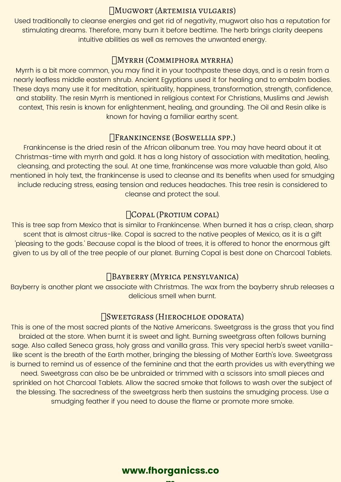#### Mugwort (Artemisia vulgaris)

Used traditionally to cleanse energies and get rid of negativity, mugwort also has a reputation for stimulating dreams. Therefore, many burn it before bedtime. The herb brings clarity deepens intuitive abilities as well as removes the unwanted energy.

### Myrrh (Commiphora myrrha)

Myrrh is a bit more common, you may find it in your toothpaste these days, and is a resin from a nearly leafless middle eastern shrub. Ancient Egyptians used it for healing and to embalm bodies. These days many use it for meditation, spirituality, happiness, transformation, strength, confidence, and stability. The resin Myrrh is mentioned in religious context For Christians, Muslims and Jewish context, This resin is known for enlightenment, healing, and grounding. The Oil and Resin alike is known for having a familiar earthy scent.

### Frankincense (Boswellia spp.)

Frankincense is the dried resin of the African olibanum tree. You may have heard about it at Christmas-time with myrrh and gold. It has a long history of association with meditation, healing, cleansing, and protecting the soul. At one time, frankincense was more valuable than gold, Also mentioned in holy text, the frankincense is used to cleanse and Its benefits when used for smudging include reducing stress, easing tension and reduces headaches. This tree resin is considered to cleanse and protect the soul.

### Copal (Protium copal)

This is tree sap from Mexico that is similar to Frankincense. When burned it has a crisp, clean, sharp scent that is almost citrus-like. Copal is sacred to the native peoples of Mexico, as it is a gift 'pleasing to the gods.' Because copal is the blood of trees, it is offered to honor the enormous gift given to us by all of the tree people of our planet. Burning Copal is best done on Charcoal Tablets.

# Bayberry (Myrica pensylvanica)

Bayberry is another plant we associate with Christmas. The wax from the bayberry shrub releases a delicious smell when burnt.

#### Sweetgrass (Hierochloe odorata)

This is one of the most sacred plants of the Native Americans. Sweetgrass is the grass that you find braided at the store. When burnt it is sweet and light. Burning sweetgrass often follows burning sage. Also called Seneca grass, holy grass and vanilla grass. This very special herb's sweet vanillalike scent is the breath of the Earth mother, bringing the blessing of Mother Earth's love. Sweetgrass is burned to remind us of essence of the feminine and that the earth provides us with everything we need. Sweetgrass can also be be unbraided or trimmed with a scissors into small pieces and sprinkled on hot Charcoal Tablets. Allow the sacred smoke that follows to wash over the subject of the blessing. The sacredness of the sweetgrass herb then sustains the smudging process. Use a smudging feather if you need to douse the flame or promote more smoke.

# www.fhorganicss.co

m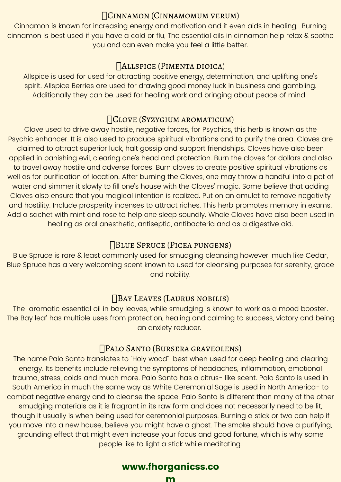### Cinnamon (Cinnamomum verum)

Cinnamon is known for increasing energy and motivation and it even aids in healing, Burning cinnamon is best used if you have a cold or flu, The essential oils in cinnamon help relax & soothe you and can even make you feel a little better.

# Allspice (Pimenta dioica)

Allspice is used for used for attracting positive energy, determination, and uplifting one's spirit. Allspice Berries are used for drawing good money luck in business and gambling. Additionally they can be used for healing work and bringing about peace of mind.

# Clove (Syzygium aromaticum)

Clove used to drive away hostile, negative forces, for Psychics, this herb is known as the Psychic enhancer. It is also used to produce spiritual vibrations and to purify the area. Cloves are claimed to attract superior luck, halt gossip and support friendships. Cloves have also been applied in banishing evil, clearing one's head and protection. Burn the cloves for dollars and also to travel away hostile and adverse forces. Burn cloves to create positive spiritual vibrations as well as for purification of location. After burning the Cloves, one may throw a handful into a pot of water and simmer it slowly to fill one's house with the Cloves' magic. Some believe that adding Cloves also ensure that you magical intention is realized. Put on an amulet to remove negativity and hostility. Include prosperity incenses to attract riches. This herb promotes memory in exams. Add a sachet with mint and rose to help one sleep soundly. Whole Cloves have also been used in healing as oral anesthetic, antiseptic, antibacteria and as a digestive aid.

### Blue Spruce (Picea pungens)

Blue Spruce is rare & least commonly used for smudging cleansing however, much like Cedar, Blue Spruce has a very welcoming scent known to used for cleansing purposes for serenity, grace and nobility.

### Bay Leaves (Laurus nobilis)

The aromatic essential oil in bay leaves, while smudging is known to work as a mood booster. The Bay leaf has multiple uses from protection, healing and calming to success, victory and being an anxiety reducer.

### Palo Santo (Bursera graveolens)

The name Palo Santo translates to "Holy wood" best when used for deep healing and clearing energy. Its benefits include relieving the symptoms of headaches, inflammation, emotional trauma, stress, colds and much more. Palo Santo has a citrus- like scent. Palo Santo is used in South America in much the same way as White Ceremonial Sage is used in North America- to combat negative energy and to cleanse the space. Palo Santo is different than many of the other smudging materials as it is fragrant in its raw form and does not necessarily need to be lit, though it usually is when being used for ceremonial purposes. Burning a stick or two can help if you move into a new house, believe you might have a ghost. The smoke should have a purifying, grounding effect that might even increase your focus and good fortune, which is why some people like to light a stick while meditating.

# www.fhorganicss.co

m